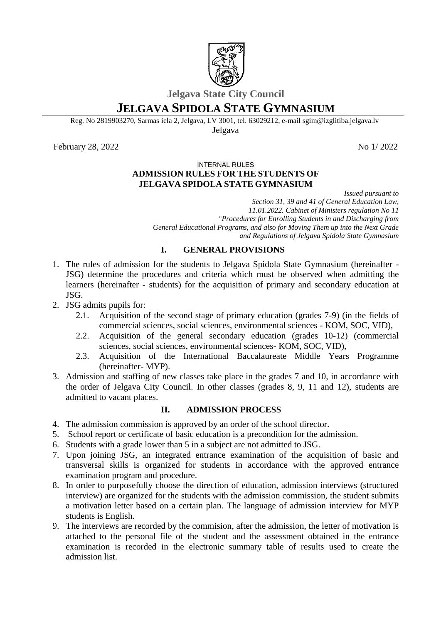

# **Jelgava State City Council**

# **JELGAVA SPIDOLA STATE GYMNASIUM**

Reg. No 2819903270, Sarmas iela 2, Jelgava, LV 3001, tel. 63029212, e-mail sgim@izglitiba.jelgava.lv Jelgava

February 28, 2022 No 1/2022

#### INTERNAL RULES

### **ADMISSION RULES FOR THE STUDENTS OF JELGAVA SPIDOLA STATE GYMNASIUM**

*Issued pursuant to Section 31, 39 and 41 of General Education Law, 11.01.2022. Cabinet of Ministers regulation No 11 "Procedures for Enrolling Students in and Discharging from General Educational Programs, and also for Moving Them up into the Next Grade and Regulations of Jelgava Spidola State Gymnasium*

### **I. GENERAL PROVISIONS**

- 1. The rules of admission for the students to Jelgava Spidola State Gymnasium (hereinafter JSG) determine the procedures and criteria which must be observed when admitting the learners (hereinafter - students) for the acquisition of primary and secondary education at JSG.
- 2. JSG admits pupils for:
	- 2.1. Acquisition of the second stage of primary education (grades 7-9) (in the fields of commercial sciences, social sciences, environmental sciences - KOM, SOC, VID),
	- 2.2. Acquisition of the general secondary education (grades 10-12) (commercial sciences, social sciences, environmental sciences- KOM, SOC, VID),
	- 2.3. Acquisition of the International Baccalaureate Middle Years Programme (hereinafter- MYP).
- 3. Admission and staffing of new classes take place in the grades 7 and 10, in accordance with the order of Jelgava City Council. In other classes (grades 8, 9, 11 and 12), students are admitted to vacant places.

#### **II. ADMISSION PROCESS**

- 4. The admission commission is approved by an order of the school director.
- 5. School report or certificate of basic education is a precondition for the admission.
- 6. Students with a grade lower than 5 in a subject are not admitted to JSG.
- 7. Upon joining JSG, an integrated entrance examination of the acquisition of basic and transversal skills is organized for students in accordance with the approved entrance examination program and procedure.
- 8. In order to purposefully choose the direction of education, admission interviews (structured interview) are organized for the students with the admission commission, the student submits a motivation letter based on a certain plan. The language of admission interview for MYP students is English.
- 9. The interviews are recorded by the commision, after the admission, the letter of motivation is attached to the personal file of the student and the assessment obtained in the entrance examination is recorded in the electronic summary table of results used to create the admission list.